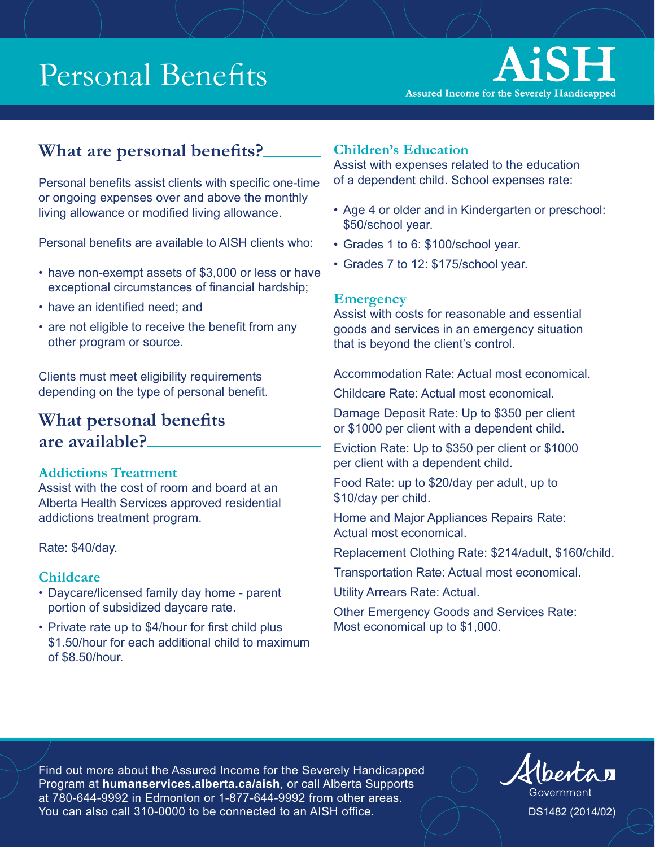

### **What are personal benefits?**

Personal benefits assist clients with specific one-time or ongoing expenses over and above the monthly living allowance or modified living allowance.

Personal benefits are available to AISH clients who:

- have non-exempt assets of \$3,000 or less or have exceptional circumstances of financial hardship;
- have an identified need; and
- are not eligible to receive the benefit from any other program or source.

Clients must meet eligibility requirements depending on the type of personal benefit.

### **What personal benefits are available?**

#### **Addictions Treatment**

Assist with the cost of room and board at an Alberta Health Services approved residential addictions treatment program.

Rate: \$40/day.

#### **Childcare**

- Daycare/licensed family day home parent portion of subsidized daycare rate.
- Private rate up to \$4/hour for first child plus \$1.50/hour for each additional child to maximum of \$8.50/hour.

#### **Children's Education**

Assist with expenses related to the education of a dependent child. School expenses rate:

- Age 4 or older and in Kindergarten or preschool: \$50/school year.
- Grades 1 to 6: \$100/school year.
- Grades 7 to 12: \$175/school year.

#### **Emergency**

Assist with costs for reasonable and essential goods and services in an emergency situation that is beyond the client's control.

Accommodation Rate: Actual most economical.

Childcare Rate: Actual most economical.

Damage Deposit Rate: Up to \$350 per client or \$1000 per client with a dependent child.

Eviction Rate: Up to \$350 per client or \$1000 per client with a dependent child.

Food Rate: up to \$20/day per adult, up to \$10/day per child.

Home and Major Appliances Repairs Rate: Actual most economical.

Replacement Clothing Rate: \$214/adult, \$160/child.

Transportation Rate: Actual most economical.

Utility Arrears Rate: Actual.

Other Emergency Goods and Services Rate: Most economical up to \$1,000.

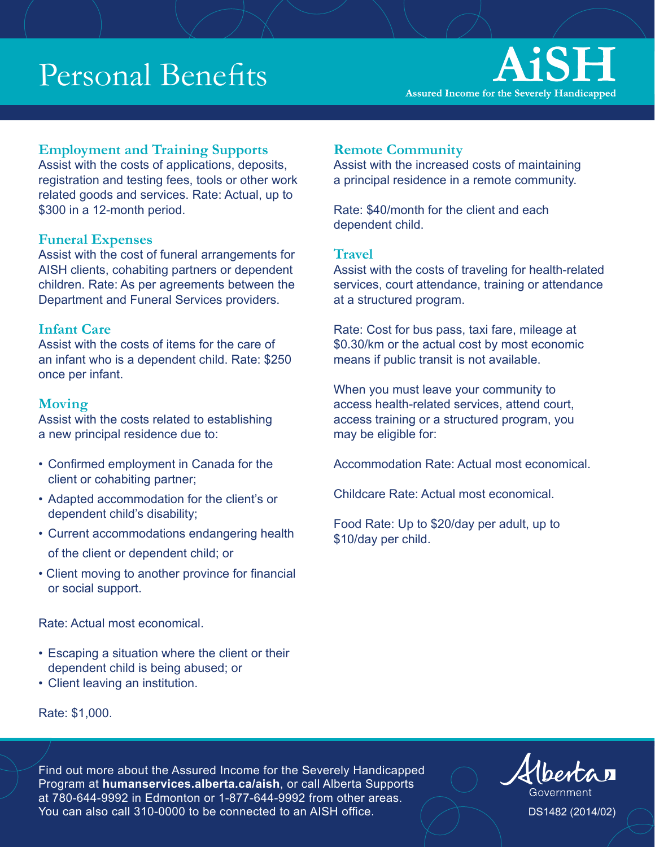### AiSH **Assured Income for the Severely Handicapped**

#### **Employment and Training Supports**

Assist with the costs of applications, deposits, registration and testing fees, tools or other work related goods and services. Rate: Actual, up to \$300 in a 12-month period.

#### **Funeral Expenses**

Assist with the cost of funeral arrangements for AISH clients, cohabiting partners or dependent children. Rate: As per agreements between the Department and Funeral Services providers.

#### **Infant Care**

Assist with the costs of items for the care of an infant who is a dependent child. Rate: \$250 once per infant.

#### **Moving**

Assist with the costs related to establishing a new principal residence due to:

- Confirmed employment in Canada for the client or cohabiting partner;
- Adapted accommodation for the client's or dependent child's disability;
- Current accommodations endangering health of the client or dependent child; or
- Client moving to another province for financial or social support.

#### **Remote Community**

Assist with the increased costs of maintaining a principal residence in a remote community.

Rate: \$40/month for the client and each dependent child.

#### **Travel**

Assist with the costs of traveling for health-related services, court attendance, training or attendance at a structured program.

Rate: Cost for bus pass, taxi fare, mileage at \$0.30/km or the actual cost by most economic means if public transit is not available.

When you must leave your community to access health-related services, attend court, access training or a structured program, you may be eligible for:

Accommodation Rate: Actual most economical.

Childcare Rate: Actual most economical.

Food Rate: Up to \$20/day per adult, up to \$10/day per child.

Rate: Actual most economical.

- Escaping a situation where the client or their dependent child is being abused; or
- Client leaving an institution.

Rate: \$1,000.

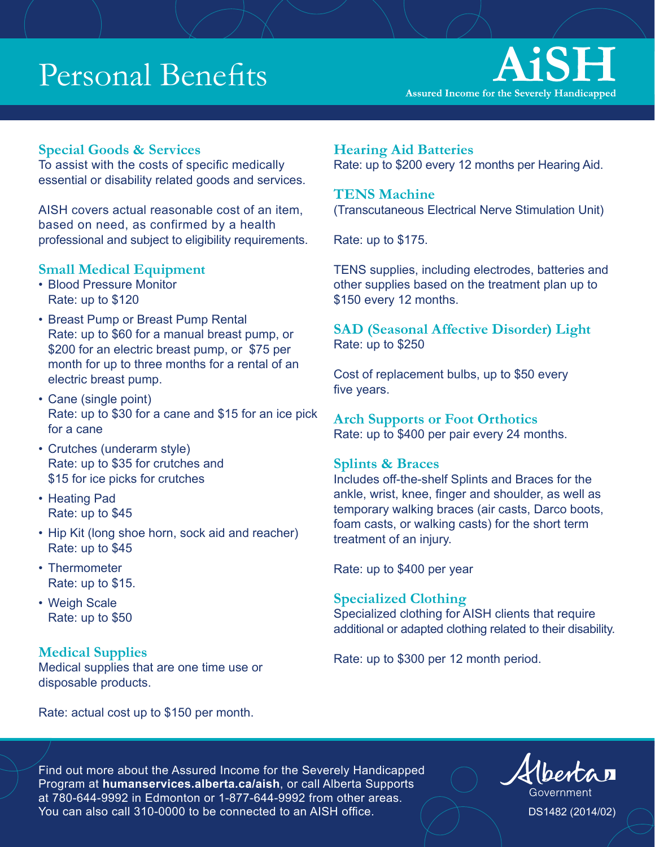

#### **Special Goods & Services**

To assist with the costs of specific medically essential or disability related goods and services.

AISH covers actual reasonable cost of an item, based on need, as confirmed by a health professional and subject to eligibility requirements.

#### **Small Medical Equipment**

- Blood Pressure Monitor Rate: up to \$120
- Breast Pump or Breast Pump Rental Rate: up to \$60 for a manual breast pump, or \$200 for an electric breast pump, or \$75 per month for up to three months for a rental of an electric breast pump.
- Cane (single point) Rate: up to \$30 for a cane and \$15 for an ice pick for a cane
- Crutches (underarm style) Rate: up to \$35 for crutches and \$15 for ice picks for crutches
- Heating Pad Rate: up to \$45
- Hip Kit (long shoe horn, sock aid and reacher) Rate: up to \$45
- Thermometer Rate: up to \$15.
- Weigh Scale Rate: up to \$50

#### **Medical Supplies**

Medical supplies that are one time use or disposable products.

**Hearing Aid Batteries**  Rate: up to \$200 every 12 months per Hearing Aid.

#### **TENS Machine**

(Transcutaneous Electrical Nerve Stimulation Unit)

Rate: up to \$175.

TENS supplies, including electrodes, batteries and other supplies based on the treatment plan up to \$150 every 12 months.

**SAD (Seasonal Affective Disorder) Light**  Rate: up to \$250

Cost of replacement bulbs, up to \$50 every five years.

**Arch Supports or Foot Orthotics**  Rate: up to \$400 per pair every 24 months.

#### **Splints & Braces**

Includes off-the-shelf Splints and Braces for the ankle, wrist, knee, finger and shoulder, as well as temporary walking braces (air casts, Darco boots, foam casts, or walking casts) for the short term treatment of an injury.

Rate: up to \$400 per year

#### **Specialized Clothing**

Specialized clothing for AISH clients that require additional or adapted clothing related to their disability.

Rate: up to \$300 per 12 month period.

Rate: actual cost up to \$150 per month.